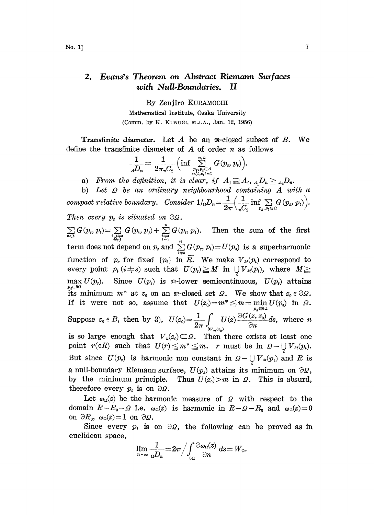## 2. Evans's Theorem on Abstract Riemann Surfaces with Null-Boundaries. II

By Zenjiro KURAMOCHI Mathematical Institute, Osaka University

(Comm. by K. KUNUGI, M.J.A., Jan. 12, 1956)

**Transfinite diameter.** Let  $A$  be an  $m$ -closed subset of  $B$ . We define the transfinite diameter of  $A$  of order  $n$  as follows

$$
\frac{1}{A D_n} = \frac{1}{2\pi_n C_2} \left( \inf \sum_{\substack{p_s, p_t \in A \\ s < t, s, t-1}} \sum_{s=1}^{n,n} G(p_s, p_t) \right).
$$

a) From the definition, it is clear, if  $A_1 \supseteq A_2$ ,  $A_1D_n \geq A_2D_n$ .

b) Let  $\Omega$  be an ordinary neighbourhood containing  $A$  with a compact relative boundary. Consider  $1_{\alpha}D_n=\frac{1}{2\pi}\Big(\frac{1}{C_n}\inf\sum_{p_i, p_i\in\Omega}G(p_i, p_i)\Big)$ . Then every  $p_s$  is situated on  $\partial \Omega$ .

 $\sum_{s \leq t} G(p_s, p_t) = \sum_{\substack{i,j \neq s \\ i \neq j}} G(p_i, p_j) + \sum_{\substack{i= s \\ i=1}}^n G(p_s, p_i).$  Then the sum of the first term does not depend on  $p_s$  and  $\sum_{i=s}^{n} G(p_s, p_i) = U(p_s)$  is a superharmonic function of  $p_s$  for fixed  $\{p_i\}$  in  $\overline{R}$ . We make  $V_M(p_i)$  correspond to every point  $p_i$  ( $i + s$ ) such that  $U(p_s) \geq M$  in  $\bigcup_i V_M(p_i)$ , where  $M \geq$  max  $U(p_s)$ . Since  $U(p_s)$  is  $m$ -lower semicontinuous,  $U(p_s)$  attains  $\max_{p_s \in \partial \Omega} U(p_s)$ . Since  $U(p_s)$  is m-lower semicontinuous,  $U(p_s)$  attains its minimum  $m^*$  at  $z_0$  on an m-closed set  $\Omega$ . We show that  $z_0 \in \partial \Omega$ . If it were not so, assume that  $U(z_0)=m^* \leq m=\min_{p_s\in\partial\Omega} U(p_s)$  in  $\Omega$ . Suppose  $z_0 \in B$ , then by 3),  $U(z_0) = \frac{1}{2\pi} \int_{\partial Y_{\mu}(z_0)} U(z) \frac{\partial G(z, z_0)}{\partial n} ds$ , where n is so large enough that  $V_n(z_0) \subset \Omega$ . Then there exists at least one point  $r(\epsilon R)$  such that  $U(r) \leq m^* \leq m$ . r must be in  $\Omega - \bigcup V_{\mathcal{M}}(p_i)$ . But since  $U(p_s)$  is harmonic non constant in  $Q - \bigcup_i V_M(p_i)$  and R is a null-boundary Riemann surface,  $U(p_s)$  attains its minimum on  $\partial \Omega$ , by the minimum principle. Thus  $U(z_0) > m$  in  $\Omega$ . This is absurd, therefore every  $p_i$  is on  $\partial \Omega$ .

Let  $\omega_{\Omega}(z)$  be the harmonic measure of  $\Omega$  with respect to the domain  $R-R_0-Q$  i.e.  $\omega_{\Omega}(z)$  is harmonic in  $R-Q-R_0$  and  $\omega_{\Omega}(z)=0$ on  $\partial R_0$ ,  $\omega_{\Omega}(z)=1$  on  $\partial \Omega$ .

Since every  $p_i$  is on  $\partial \Omega$ , the following can be proved as in euclidean space,

$$
\lim_{n\to\infty}\frac{1}{\Omega D_n}=2\pi/\int_{\partial\Omega}\frac{\partial\omega_0(z)}{\partial n}\,ds=W_{\Omega}.
$$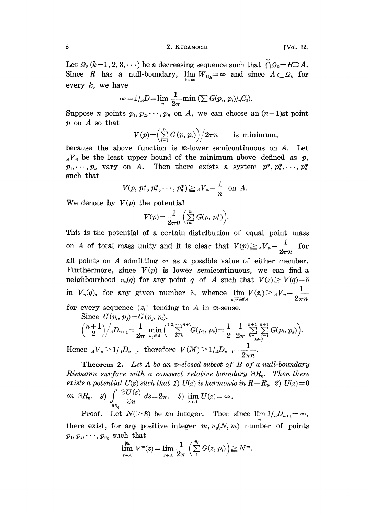## 8' .Z. KURAMOCHI [Vol. 32,

Let  $\mathcal{Q}_k (k=1, 2, 3, \cdots)$  be a decreasing sequence such that  $\bigcap \mathcal{Q}_k = B \supset A$ . Since R has a null-boundary,  $\lim_{k \to \infty} W_{\Omega_k} = \infty$  and since  $A \subset \Omega_k$  for every  $k$ , we have

$$
\infty = 1_{/A}D = \lim_n \frac{1}{2\pi} \min \left( \sum G(p_s, p_t) / {}_{n}C_2 \right).
$$

Suppose *n* points  $p_1, p_2, \dots, p_n$  on *A*, we can choose an  $(n+1)$ st point p on A so that

$$
V(p){=}{{\left(\sum\limits_{i=1}^{n} G\left(p, p_{_{i}}\right)\right)}}\Big/{2\pi n}\qquad \textrm{is minimum,}
$$

because the above function is  $m$ -lower semicontinuous on A. Let  $_{A}V_{n}$  be the least upper bound of the minimum above defined as p,  $p_1,\dots,p_n$  vary on A. Then there exists a system  $p_1^*,p_2^*,\dots,p_n^*$ such that

$$
V(p, p_1^*, p_2^*, \cdots, p_n^*) \geq {}_{A}V_n - \frac{1}{n}
$$
 on A.

We denote by  $V(p)$  the potential

$$
V(p)\!=\!\frac{1}{2\pi n}\Bigl(\sum_{i=1}^n G(p,\,p_i^*)\Bigr).
$$

This is the potential of a certain distribution of equal point mass on A of total mass unity and it is clear that  $V(p) \geq {}_{A}V_{n} - \frac{1}{2\pi n}$  for<br>all points on A admitting  $\infty$  as a possible value of either member.<br>Furthermore, since  $V(p)$  is lower semicontinuous, we can find a<br>neighbour all points on A admitting  $\infty$  as a possible value of either member. Furthermore, since  $V(p)$  is lower semicontinuous, we can find a neighbourhood  $v_n(q)$  for any point q of A such that  $V(z) \geq V(q) - \delta$ in  $V_n(q)$ , for any given number  $\delta$ , whence  $\lim_{z_i \to q \in A} V(z_i) \geq {}_{A}V_n - \frac{1}{2\pi n}$ for every sequence  $\{z_i\}$  tending to A in m-sense.

Since 
$$
G(p_i, p_j) = G(p_j, p_i)
$$
.

$$
{n+1 \choose 2}/_AD_{n+1} = \frac{1}{2\pi} \min_{p_i \in A} \Big(\sum_{i \le k}^{1,2,\cdots,n+1} G(p_i,p_k) = \frac{1}{2} \frac{1}{2\pi} \sum_{k=1}^{n+1} \sum_{j=1 \atop k \ne j}^{n+1} G(p_i,p_k)\Big).
$$

Hence  $_{A}V_{n} \geq 1_{A}D_{n+1}$ , therefore  $V(M) \geq 1_{A}D_{n+1}$  $2\pi n$ 

**Theorem 2.** Let  $A$  be an  $m$ -closed subset of  $B$  of a null-boundary Riemann surface with a compact relative boundary  $\partial R_{0}$ . Then there exists a potential  $U(z)$  such that 1)  $U(z)$  is harmonic in  $R-R_0$ . 2)  $U(z)=0$ on  $\partial R_0$ ,  $\beta$ )  $\int_{\partial \Omega} \frac{\partial U(z)}{\partial n} ds = 2\pi$ ,  $4$ )  $\lim_{z \to A} U(z) = \infty$ .  $\partial R_{\rho}$ 

Proof. Let  $N(\geq 3)$  be an integer. Then since  $\lim 1/\Lambda D_{n+1}=\infty$ , there exist, for any positive integer  $m, n_0(N, m)$  number of points  $p_1, p_2, \cdots, p_{n_0}$  such that

$$
\lim_{\overline{z \to A}} V^m(z) = \lim_{\overline{z \to A}} \frac{1}{2\pi} \left( \sum_i^{n_0} G(z, p_i) \right) \geq N^m.
$$